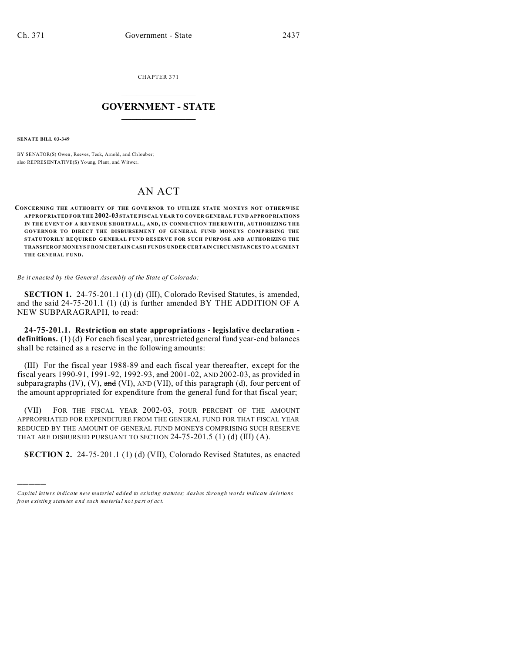CHAPTER 371  $\overline{\phantom{a}}$  , where  $\overline{\phantom{a}}$ 

## **GOVERNMENT - STATE**  $\_$   $\_$

**SENATE BILL 03-349**

)))))

BY SENATOR(S) Owen, Reeves, Teck, Arnold, and Ch loub er; also REPRESENTATIVE(S) Yo ung, Plant, and Witwer.

## AN ACT

## **CONCERNING THE A UTHORITY OF THE G OVE RNOR TO UTILIZE STATE MONEYS NOT OTHERWISE APPROPRIATED FOR THE 2002-03 STATE FISCAL YEAR TO COVER GENERAL F UND APPROP RIATIONS IN THE EVENT OF A REVENUE SHORTFALL, AND, IN CONNE CTION THE REW ITH, AUTHORIZING THE GOVERNOR TO DIRECT THE DISBURSEMENT OF GENERAL FUND MONEYS COMPRISING THE STATUTORILY REQU IRED GENERAL FUND RESERVE FOR SUCH PURPOSE AND AUTHORIZING THE TRANSFER OF MONEYS F ROM CERTAIN CASH FUNDS UNDER CERTAIN CIRCUMSTANCES TO AUGMENT THE GENERAL F UND.**

*Be it enacted by the General Assembly of the State of Colorado:*

**SECTION 1.** 24-75-201.1 (1) (d) (III), Colorado Revised Statutes, is amended, and the said 24-75-201.1 (1) (d) is further amended BY THE ADDITION OF A NEW SUBPARAGRAPH, to read:

**24-75-201.1. Restriction on state appropriations - legislative declaration definitions.** (1) (d) For each fiscal year, unrestricted general fund year-end balances shall be retained as a reserve in the following amounts:

(III) For the fiscal year 1988-89 and each fiscal year thereafter, except for the fiscal years 1990-91, 1991-92, 1992-93, and 2001-02, AND 2002-03, as provided in subparagraphs  $(IV)$ ,  $(V)$ , and  $(VI)$ ,  $AND (VII)$ , of this paragraph  $(d)$ , four percent of the amount appropriated for expenditure from the general fund for that fiscal year;

(VII) FOR THE FISCAL YEAR 2002-03, FOUR PERCENT OF THE AMOUNT APPROPRIATED FOR EXPENDITURE FROM THE GENERAL FUND FOR THAT FISCAL YEAR REDUCED BY THE AMOUNT OF GENERAL FUND MONEYS COMPRISING SUCH RESERVE THAT ARE DISBURSED PURSUANT TO SECTION  $24-75-201.5$  (1) (d) (III) (A).

**SECTION 2.** 24-75-201.1 (1) (d) (VII), Colorado Revised Statutes, as enacted

*Capital letters indicate new material added to existing statutes; dashes through words indicate deletions from e xistin g statu tes a nd such ma teria l no t pa rt of ac t.*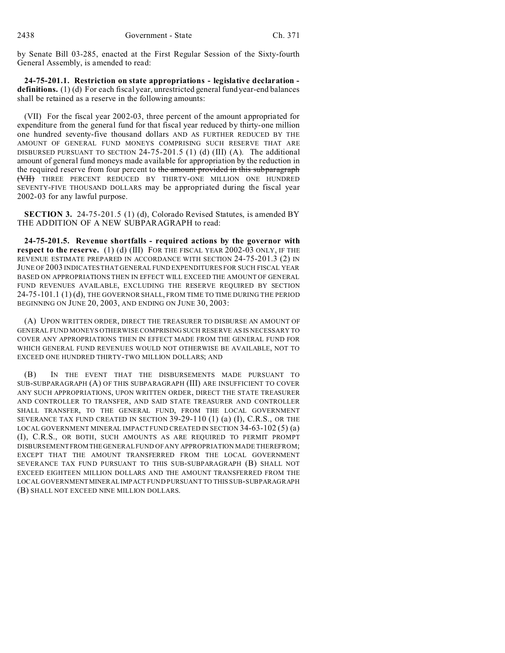by Senate Bill 03-285, enacted at the First Regular Session of the Sixty-fourth General Assembly, is amended to read:

**24-75-201.1. Restriction on state appropriations - legislative declaration definitions.** (1) (d) For each fiscal year, unrestricted general fund year-end balances shall be retained as a reserve in the following amounts:

(VII) For the fiscal year 2002-03, three percent of the amount appropriated for expenditure from the general fund for that fiscal year reduced by thirty-one million one hundred seventy-five thousand dollars AND AS FURTHER REDUCED BY THE AMOUNT OF GENERAL FUND MONEYS COMPRISING SUCH RESERVE THAT ARE DISBURSED PURSUANT TO SECTION  $24-75-201.5$  (1) (d) (III) (A). The additional amount of general fund moneys made available for appropriation by the reduction in the required reserve from four percent to the amount provided in this subparagraph (VII) THREE PERCENT REDUCED BY THIRTY-ONE MILLION ONE HUNDRED SEVENTY-FIVE THOUSAND DOLLARS may be appropriated during the fiscal year 2002-03 for any lawful purpose.

**SECTION 3.** 24-75-201.5 (1) (d), Colorado Revised Statutes, is amended BY THE ADDITION OF A NEW SUBPARAGRAPH to read:

**24-75-201.5. Revenue shortfalls - required actions by the governor with respect to the reserve.** (1) (d) (III) FOR THE FISCAL YEAR 2002-03 ONLY, IF THE REVENUE ESTIMATE PREPARED IN ACCORDANCE WITH SECTION 24-75-201.3 (2) IN JUNE OF 2003 INDICATES THAT GENERAL FUND EXPENDITURES FOR SUCH FISCAL YEAR BASED ON APPROPRIATIONS THEN IN EFFECT WILL EXCEED THE AMOUNT OF GENERAL FUND REVENUES AVAILABLE, EXCLUDING THE RESERVE REQUIRED BY SECTION 24-75-101.1 (1) (d), THE GOVERNOR SHALL, FROM TIME TO TIME DURING THE PERIOD BEGINNING ON JUNE 20, 2003, AND ENDING ON JUNE 30, 2003:

(A) UPON WRITTEN ORDER, DIRECT THE TREASURER TO DISBURSE AN AMOUNT OF GENERAL FUND MONEYS OTHERWISE COMPRISING SUCH RESERVE AS IS NECESSARY TO COVER ANY APPROPRIATIONS THEN IN EFFECT MADE FROM THE GENERAL FUND FOR WHICH GENERAL FUND REVENUES WOULD NOT OTHERWISE BE AVAILABLE, NOT TO EXCEED ONE HUNDRED THIRTY-TWO MILLION DOLLARS; AND

(B) IN THE EVENT THAT THE DISBURSEMENTS MADE PURSUANT TO SUB-SUBPARAGRAPH (A) OF THIS SUBPARAGRAPH (III) ARE INSUFFICIENT TO COVER ANY SUCH APPROPRIATIONS, UPON WRITTEN ORDER, DIRECT THE STATE TREASURER AND CONTROLLER TO TRANSFER, AND SAID STATE TREASURER AND CONTROLLER SHALL TRANSFER, TO THE GENERAL FUND, FROM THE LOCAL GOVERNMENT SEVERANCE TAX FUND CREATED IN SECTION 39-29-110 (1) (a) (I), C.R.S., OR THE LOCAL GOVERNMENT MINERAL IMPACT FUND CREATED IN SECTION 34-63-102 (5) (a) (I), C.R.S., OR BOTH, SUCH AMOUNTS AS ARE REQUIRED TO PERMIT PROMPT DISBURSEMENTFROMTHEGENERAL FUND OF ANY APPROPRIATION MADE THEREFROM; EXCEPT THAT THE AMOUNT TRANSFERRED FROM THE LOCAL GOVERNMENT SEVERANCE TAX FUND PURSUANT TO THIS SUB-SUBPARAGRAPH (B) SHALL NOT EXCEED EIGHTEEN MILLION DOLLARS AND THE AMOUNT TRANSFERRED FROM THE LOCAL GOVERNMENTMINERAL IMPACT FUND PURSUANT TO THIS SUB-SUBPARAGRAPH (B) SHALL NOT EXCEED NINE MILLION DOLLARS.